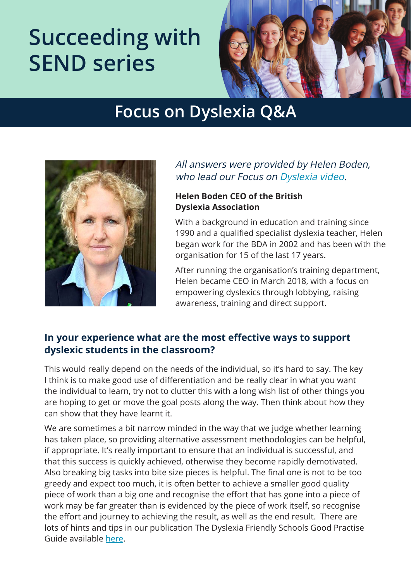# **Succeeding with SEND series**



## **Focus on Dyslexia Q&A**



#### All answers were provided by Helen Boden, who lead our Focus on [Dyslexia video](https://www.pearsonclinical.co.uk/campaigns/succeeding-with-send.html?utm_source=pdf&utm_medium=referral&utm_campaign=GBCASP0919DYSLX&utm_content=qa).

#### **Helen Boden CEO of the British Dyslexia Association**

With a background in education and training since 1990 and a qualified specialist dyslexia teacher, Helen began work for the BDA in 2002 and has been with the organisation for 15 of the last 17 years.

After running the organisation's training department, Helen became CEO in March 2018, with a focus on empowering dyslexics through lobbying, raising awareness, training and direct support.

#### **In your experience what are the most effective ways to support dyslexic students in the classroom?**

This would really depend on the needs of the individual, so it's hard to say. The key I think is to make good use of differentiation and be really clear in what you want the individual to learn, try not to clutter this with a long wish list of other things you are hoping to get or move the goal posts along the way. Then think about how they can show that they have learnt it.

We are sometimes a bit narrow minded in the way that we judge whether learning has taken place, so providing alternative assessment methodologies can be helpful, if appropriate. It's really important to ensure that an individual is successful, and that this success is quickly achieved, otherwise they become rapidly demotivated. Also breaking big tasks into bite size pieces is helpful. The final one is not to be too greedy and expect too much, it is often better to achieve a smaller good quality piece of work than a big one and recognise the effort that has gone into a piece of work may be far greater than is evidenced by the piece of work itself, so recognise the effort and journey to achieving the result, as well as the end result. There are lots of hints and tips in our publication The Dyslexia Friendly Schools Good Practise Guide available [here.](https://www.bdadyslexia.org.uk/)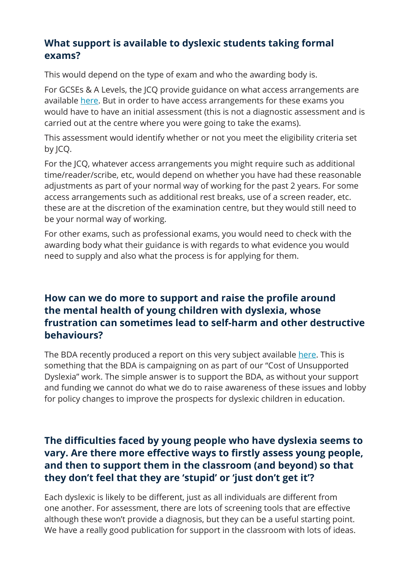#### **What support is available to dyslexic students taking formal exams?**

This would depend on the type of exam and who the awarding body is.

For GCSEs & A Levels, the JCQ provide guidance on what access arrangements are available [here](https://www.jcq.org.uk/exams-office/access-arrangements-and-special-consideration/regulations-and-guidance). But in order to have access arrangements for these exams you would have to have an initial assessment (this is not a diagnostic assessment and is carried out at the centre where you were going to take the exams).

This assessment would identify whether or not you meet the eligibility criteria set by JCQ.

For the JCQ, whatever access arrangements you might require such as additional time/reader/scribe, etc, would depend on whether you have had these reasonable adjustments as part of your normal way of working for the past 2 years. For some access arrangements such as additional rest breaks, use of a screen reader, etc. these are at the discretion of the examination centre, but they would still need to be your normal way of working.

For other exams, such as professional exams, you would need to check with the awarding body what their guidance is with regards to what evidence you would need to supply and also what the process is for applying for them.

#### **How can we do more to support and raise the profile around the mental health of young children with dyslexia, whose frustration can sometimes lead to self-harm and other destructive behaviours?**

The BDA recently produced a report on this very subject available [here](https://www.bdadyslexia.org.uk/news/all-party-parliamentary-group-for-dyslexia-and-other-splds-releases-first-of-its-kind-report-looking-at-the-human-cost-of-dyslexia). This is something that the BDA is campaigning on as part of our "Cost of Unsupported Dyslexia" work. The simple answer is to support the BDA, as without your support and funding we cannot do what we do to raise awareness of these issues and lobby for policy changes to improve the prospects for dyslexic children in education.

#### **The difficulties faced by young people who have dyslexia seems to vary. Are there more effective ways to firstly assess young people, and then to support them in the classroom (and beyond) so that they don't feel that they are 'stupid' or 'just don't get it'?**

Each dyslexic is likely to be different, just as all individuals are different from one another. For assessment, there are lots of screening tools that are effective although these won't provide a diagnosis, but they can be a useful starting point. We have a really good publication for support in the classroom with lots of ideas.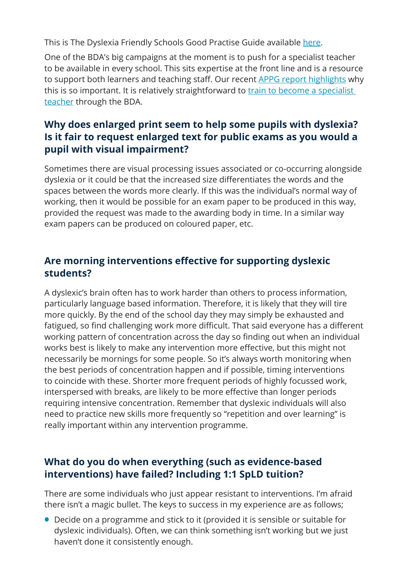This is The Dyslexia Friendly Schools Good Practise Guide available [here.](https://www.bdadyslexia.org.uk/)

One of the BDA's big campaigns at the moment is to push for a specialist teacher to be available in every school. This sits expertise at the front line and is a resource to support both learners and teaching staff. Our recent [APPG report highlights](https://www.bdadyslexia.org.uk/news/appg-education-report) why this is so important. It is relatively straightforward to train to become a specialist [teacher](https://www.bdadyslexia.org.uk/services/training?content=accredited) through the BDA.

#### **Why does enlarged print seem to help some pupils with dyslexia? Is it fair to request enlarged text for public exams as you would a pupil with visual impairment?**

Sometimes there are visual processing issues associated or co-occurring alongside dyslexia or it could be that the increased size differentiates the words and the spaces between the words more clearly. If this was the individual's normal way of working, then it would be possible for an exam paper to be produced in this way, provided the request was made to the awarding body in time. In a similar way exam papers can be produced on coloured paper, etc.

#### **Are morning interventions effective for supporting dyslexic students?**

A dyslexic's brain often has to work harder than others to process information, particularly language based information. Therefore, it is likely that they will tire more quickly. By the end of the school day they may simply be exhausted and fatigued, so find challenging work more difficult. That said everyone has a different working pattern of concentration across the day so finding out when an individual works best is likely to make any intervention more effective, but this might not necessarily be mornings for some people. So it's always worth monitoring when the best periods of concentration happen and if possible, timing interventions to coincide with these. Shorter more frequent periods of highly focussed work, interspersed with breaks, are likely to be more effective than longer periods requiring intensive concentration. Remember that dyslexic individuals will also need to practice new skills more frequently so "repetition and over learning" is really important within any intervention programme.

#### **What do you do when everything (such as evidence-based interventions) have failed? Including 1:1 SpLD tuition?**

There are some individuals who just appear resistant to interventions. I'm afraid there isn't a magic bullet. The keys to success in my experience are as follows;

**•** Decide on a programme and stick to it (provided it is sensible or suitable for dyslexic individuals). Often, we can think something isn't working but we just haven't done it consistently enough.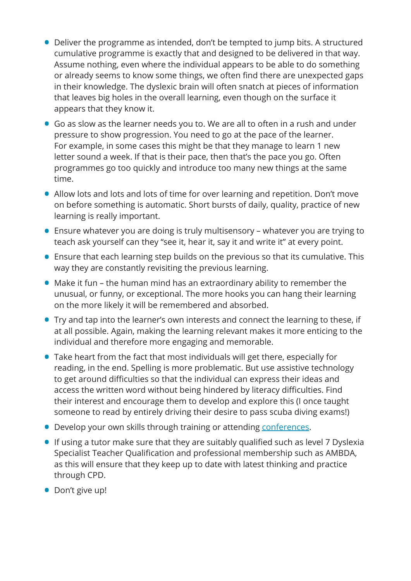- **•** Deliver the programme as intended, don't be tempted to jump bits. A structured cumulative programme is exactly that and designed to be delivered in that way. Assume nothing, even where the individual appears to be able to do something or already seems to know some things, we often find there are unexpected gaps in their knowledge. The dyslexic brain will often snatch at pieces of information that leaves big holes in the overall learning, even though on the surface it appears that they know it.
- **•** Go as slow as the learner needs you to. We are all to often in a rush and under pressure to show progression. You need to go at the pace of the learner. For example, in some cases this might be that they manage to learn 1 new letter sound a week. If that is their pace, then that's the pace you go. Often programmes go too quickly and introduce too many new things at the same time.
- **•** Allow lots and lots and lots of time for over learning and repetition. Don't move on before something is automatic. Short bursts of daily, quality, practice of new learning is really important.
- **•** Ensure whatever you are doing is truly multisensory whatever you are trying to teach ask yourself can they "see it, hear it, say it and write it" at every point.
- **•** Ensure that each learning step builds on the previous so that its cumulative. This way they are constantly revisiting the previous learning.
- **•** Make it fun the human mind has an extraordinary ability to remember the unusual, or funny, or exceptional. The more hooks you can hang their learning on the more likely it will be remembered and absorbed.
- **•** Try and tap into the learner's own interests and connect the learning to these, if at all possible. Again, making the learning relevant makes it more enticing to the individual and therefore more engaging and memorable.
- **•** Take heart from the fact that most individuals will get there, especially for reading, in the end. Spelling is more problematic. But use assistive technology to get around difficulties so that the individual can express their ideas and access the written word without being hindered by literacy difficulties. Find their interest and encourage them to develop and explore this (I once taught someone to read by entirely driving their desire to pass scuba diving exams!)
- **•** Develop your own skills through training or attending [conferences](https://www.bdadyslexia.org.uk/events/good-practice-in-dyslexia-and-literacy).
- **•** If using a tutor make sure that they are suitably qualified such as level 7 Dyslexia Specialist Teacher Qualification and professional membership such as AMBDA, as this will ensure that they keep up to date with latest thinking and practice through CPD.
- **•** Don't give up!